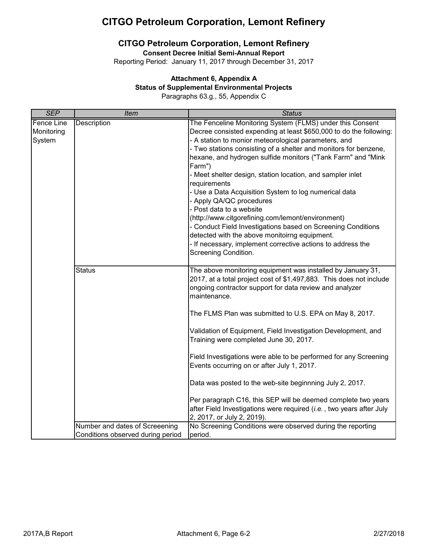# **CITGO Petroleum Corporation, Lemont Refinery**

## **CITGO Petroleum Corporation, Lemont Refinery**

**Consent Decree Initial Semi-Annual Report**

Reporting Period: January 11, 2017 through December 31, 2017

### **Attachment 6, Appendix A**

#### **Status of Supplemental Environmental Projects**

Paragraphs 63.g., 55, Appendix C

| <b>SEP</b>                                | <b>Item</b>                                                         | <b>Status</b>                                                                                                                                                                                                                                                                                                                                                                                                                                                                                                                                                                                                                                                                                                                                                                                     |
|-------------------------------------------|---------------------------------------------------------------------|---------------------------------------------------------------------------------------------------------------------------------------------------------------------------------------------------------------------------------------------------------------------------------------------------------------------------------------------------------------------------------------------------------------------------------------------------------------------------------------------------------------------------------------------------------------------------------------------------------------------------------------------------------------------------------------------------------------------------------------------------------------------------------------------------|
| <b>Fence Line</b><br>Monitoring<br>System | <b>Description</b>                                                  | The Fenceline Monitoring System (FLMS) under this Consent<br>Decree consisted expending at least \$650,000 to do the following:<br>- A station to monior meteorological parameters, and<br>- Two stations consisting of a shelter and monitors for benzene,<br>hexane, and hydrogen sulfide monitors ("Tank Farm" and "Mink<br>Farm")<br>- Meet shelter design, station location, and sampler inlet<br>requirements<br>- Use a Data Acquisition System to log numerical data<br>- Apply QA/QC procedures<br>- Post data to a website<br>(http://www.citgorefining.com/lemont/environment)<br>- Conduct Field Investigations based on Screening Conditions<br>detected with the above monitoirng equipment.<br>- If necessary, implement corrective actions to address the<br>Screening Condition. |
|                                           | <b>Status</b>                                                       | The above monitoring equipment was installed by January 31,<br>2017, at a total project cost of \$1,497,883. This does not include<br>ongoing contractor support for data review and analyzer<br>maintenance.<br>The FLMS Plan was submitted to U.S. EPA on May 8, 2017.<br>Validation of Equipment, Field Investigation Development, and<br>Training were completed June 30, 2017.<br>Field Investigations were able to be performed for any Screening<br>Events occurring on or after July 1, 2017.<br>Data was posted to the web-site beginnning July 2, 2017.                                                                                                                                                                                                                                 |
|                                           |                                                                     | Per paragraph C16, this SEP will be deemed complete two years<br>after Field Investigations were required (i.e., two years after July<br>2, 2017, or July 2, 2019).                                                                                                                                                                                                                                                                                                                                                                                                                                                                                                                                                                                                                               |
|                                           | Number and dates of Screeening<br>Conditions observed during period | No Screening Conditions were observed during the reporting<br>period.                                                                                                                                                                                                                                                                                                                                                                                                                                                                                                                                                                                                                                                                                                                             |
|                                           |                                                                     |                                                                                                                                                                                                                                                                                                                                                                                                                                                                                                                                                                                                                                                                                                                                                                                                   |